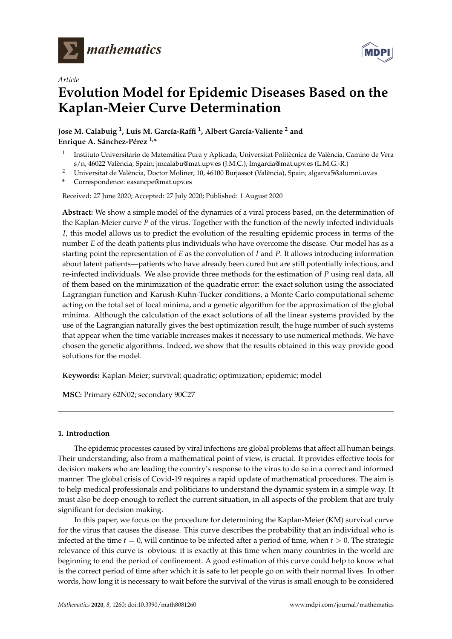



# **Evolution Model for Epidemic Diseases Based on the Kaplan-Meier Curve Determination**

**Jose M. Calabuig <sup>1</sup> , Luis M. García-Raffi <sup>1</sup> , Albert García-Valiente <sup>2</sup> and Enrique A. Sánchez-Pérez 1,\***

- 1 Instituto Universitario de Matemática Pura y Aplicada, Universitat Politècnica de València, Camino de Vera s/n, 46022 València, Spain; jmcalabu@mat.upv.es (J.M.C.); lmgarcia@mat.upv.es (L.M.G.-R.)
- <sup>2</sup> Universitat de València, Doctor Moliner, 10, 46100 Burjassot (València), Spain; algarva5@alumni.uv.es
- **\*** Correspondence: easancpe@mat.upv.es

Received: 27 June 2020; Accepted: 27 July 2020; Published: 1 August 2020

**Abstract:** We show a simple model of the dynamics of a viral process based, on the determination of the Kaplan-Meier curve *P* of the virus. Together with the function of the newly infected individuals *I*, this model allows us to predict the evolution of the resulting epidemic process in terms of the number *E* of the death patients plus individuals who have overcome the disease. Our model has as a starting point the representation of *E* as the convolution of *I* and *P*. It allows introducing information about latent patients—patients who have already been cured but are still potentially infectious, and re-infected individuals. We also provide three methods for the estimation of *P* using real data, all of them based on the minimization of the quadratic error: the exact solution using the associated Lagrangian function and Karush-Kuhn-Tucker conditions, a Monte Carlo computational scheme acting on the total set of local minima, and a genetic algorithm for the approximation of the global minima. Although the calculation of the exact solutions of all the linear systems provided by the use of the Lagrangian naturally gives the best optimization result, the huge number of such systems that appear when the time variable increases makes it necessary to use numerical methods. We have chosen the genetic algorithms. Indeed, we show that the results obtained in this way provide good solutions for the model.

**Keywords:** Kaplan-Meier; survival; quadratic; optimization; epidemic; model

**MSC:** Primary 62N02; secondary 90C27

# **1. Introduction**

The epidemic processes caused by viral infections are global problems that affect all human beings. Their understanding, also from a mathematical point of view, is crucial. It provides effective tools for decision makers who are leading the country's response to the virus to do so in a correct and informed manner. The global crisis of Covid-19 requires a rapid update of mathematical procedures. The aim is to help medical professionals and politicians to understand the dynamic system in a simple way. It must also be deep enough to reflect the current situation, in all aspects of the problem that are truly significant for decision making.

In this paper, we focus on the procedure for determining the Kaplan-Meier (KM) survival curve for the virus that causes the disease. This curve describes the probability that an individual who is infected at the time  $t = 0$ , will continue to be infected after a period of time, when  $t > 0$ . The strategic relevance of this curve is obvious: it is exactly at this time when many countries in the world are beginning to end the period of confinement. A good estimation of this curve could help to know what is the correct period of time after which it is safe to let people go on with their normal lives. In other words, how long it is necessary to wait before the survival of the virus is small enough to be considered

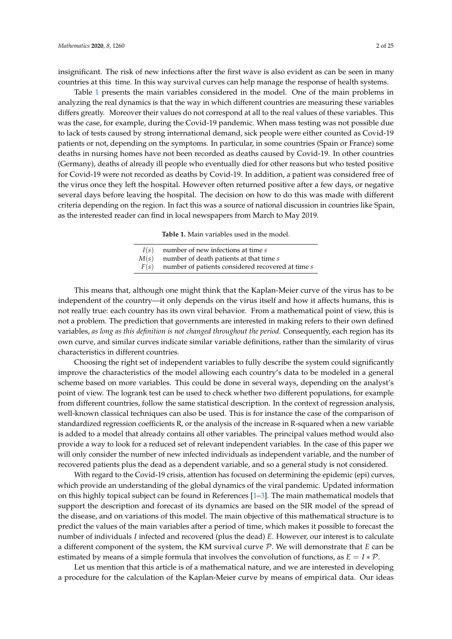insignificant. The risk of new infections after the first wave is also evident as can be seen in many countries at this time. In this way survival curves can help manage the response of health systems.

Table [1](#page-1-0) presents the main variables considered in the model. One of the main problems in analyzing the real dynamics is that the way in which different countries are measuring these variables differs greatly. Moreover their values do not correspond at all to the real values of these variables. This was the case, for example, during the Covid-19 pandemic. When mass testing was not possible due to lack of tests caused by strong international demand, sick people were either counted as Covid-19 patients or not, depending on the symptoms. In particular, in some countries (Spain or France) some deaths in nursing homes have not been recorded as deaths caused by Covid-19. In other countries (Germany), deaths of already ill people who eventually died for other reasons but who tested positive for Covid-19 were not recorded as deaths by Covid-19. In addition, a patient was considered free of the virus once they left the hospital. However often returned positive after a few days, or negative several days before leaving the hospital. The decision on how to do this was made with different criteria depending on the region. In fact this was a source of national discussion in countries like Spain, as the interested reader can find in local newspapers from March to May 2019.

**Table 1.** Main variables used in the model.

| $I(s)$ number of new infections at time s                |
|----------------------------------------------------------|
| $M(s)$ number of death patients at that time s           |
| $F(s)$ number of patients considered recovered at time s |

<span id="page-1-0"></span>This means that, although one might think that the Kaplan-Meier curve of the virus has to be independent of the country—it only depends on the virus itself and how it affects humans, this is not really true: each country has its own viral behavior. From a mathematical point of view, this is not a problem. The prediction that governments are interested in making refers to their own defined variables, *as long as this definition is not changed throughout the period.* Consequently, each region has its own curve, and similar curves indicate similar variable definitions, rather than the similarity of virus characteristics in different countries.

Choosing the right set of independent variables to fully describe the system could significantly improve the characteristics of the model allowing each country's data to be modeled in a general scheme based on more variables. This could be done in several ways, depending on the analyst's point of view. The logrank test can be used to check whether two different populations, for example from different countries, follow the same statistical description. In the context of regression analysis, well-known classical techniques can also be used. This is for instance the case of the comparison of standardized regression coefficients R, or the analysis of the increase in R-squared when a new variable is added to a model that already contains all other variables. The principal values method would also provide a way to look for a reduced set of relevant independent variables. In the case of this paper we will only consider the number of new infected individuals as independent variable, and the number of recovered patients plus the dead as a dependent variable, and so a general study is not considered.

With regard to the Covid-19 crisis, attention has focused on determining the epidemic (epi) curves, which provide an understanding of the global dynamics of the viral pandemic. Updated information on this highly topical subject can be found in References [\[1–](#page-23-0)[3\]](#page-23-1). The main mathematical models that support the description and forecast of its dynamics are based on the SIR model of the spread of the disease, and on variations of this model. The main objective of this mathematical structure is to predict the values of the main variables after a period of time, which makes it possible to forecast the number of individuals *I* infected and recovered (plus the dead) *E*. However, our interest is to calculate a different component of the system, the KM survival curve P. We will demonstrate that *E* can be estimated by means of a simple formula that involves the convolution of functions, as  $E = I * \mathcal{P}$ .

Let us mention that this article is of a mathematical nature, and we are interested in developing a procedure for the calculation of the Kaplan-Meier curve by means of empirical data. Our ideas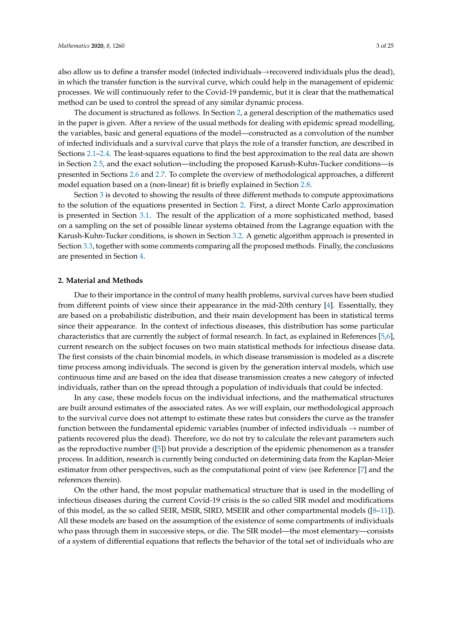also allow us to define a transfer model (infected individuals→recovered individuals plus the dead), in which the transfer function is the survival curve, which could help in the management of epidemic processes. We will continuously refer to the Covid-19 pandemic, but it is clear that the mathematical method can be used to control the spread of any similar dynamic process.

The document is structured as follows. In Section [2,](#page-2-0) a general description of the mathematics used in the paper is given. After a review of the usual methods for dealing with epidemic spread modelling, the variables, basic and general equations of the model—constructed as a convolution of the number of infected individuals and a survival curve that plays the role of a transfer function, are described in Sections [2.1–](#page-4-0)[2.4.](#page-7-0) The least-squares equations to find the best approximation to the real data are shown in Section [2.5,](#page-8-0) and the exact solution—including the proposed Karush-Kuhn-Tucker conditions—is presented in Sections [2.6](#page-9-0) and [2.7.](#page-11-0) To complete the overview of methodological approaches, a different model equation based on a (non-linear) fit is briefly explained in Section [2.8.](#page-12-0)

Section [3](#page-12-1) is devoted to showing the results of three different methods to compute approximations to the solution of the equations presented in Section [2.](#page-2-0) First, a direct Monte Carlo approximation is presented in Section [3.1.](#page-15-0) The result of the application of a more sophisticated method, based on a sampling on the set of possible linear systems obtained from the Lagrange equation with the Karush-Kuhn-Tucker conditions, is shown in Section [3.2.](#page-16-0) A genetic algorithm approach is presented in Section [3.3,](#page-19-0) together with some comments comparing all the proposed methods. Finally, the conclusions are presented in Section [4.](#page-22-0)

## <span id="page-2-0"></span>**2. Material and Methods**

Due to their importance in the control of many health problems, survival curves have been studied from different points of view since their appearance in the mid-20th century [\[4\]](#page-23-2). Essentially, they are based on a probabilistic distribution, and their main development has been in statistical terms since their appearance. In the context of infectious diseases, this distribution has some particular characteristics that are currently the subject of formal research. In fact, as explained in References [\[5](#page-23-3)[,6\]](#page-23-4), current research on the subject focuses on two main statistical methods for infectious disease data. The first consists of the chain binomial models, in which disease transmission is modeled as a discrete time process among individuals. The second is given by the generation interval models, which use continuous time and are based on the idea that disease transmission creates a new category of infected individuals, rather than on the spread through a population of individuals that could be infected.

In any case, these models focus on the individual infections, and the mathematical structures are built around estimates of the associated rates. As we will explain, our methodological approach to the survival curve does not attempt to estimate these rates but considers the curve as the transfer function between the fundamental epidemic variables (number of infected individuals  $\rightarrow$  number of patients recovered plus the dead). Therefore, we do not try to calculate the relevant parameters such as the reproductive number ([\[5\]](#page-23-3)) but provide a description of the epidemic phenomenon as a transfer process. In addition, research is currently being conducted on determining data from the Kaplan-Meier estimator from other perspectives, such as the computational point of view (see Reference [\[7\]](#page-23-5) and the references therein).

On the other hand, the most popular mathematical structure that is used in the modelling of infectious diseases during the current Covid-19 crisis is the so called SIR model and modifications of this model, as the so called SEIR, MSIR, SIRD, MSEIR and other compartmental models ([\[8](#page-23-6)[–11\]](#page-23-7)). All these models are based on the assumption of the existence of some compartments of individuals who pass through them in successive steps, or die. The SIR model—the most elementary—consists of a system of differential equations that reflects the behavior of the total set of individuals who are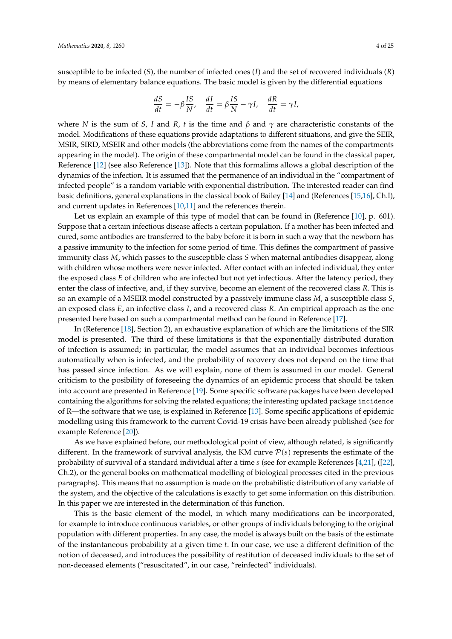susceptible to be infected (*S*), the number of infected ones (*I*) and the set of recovered individuals (*R*) by means of elementary balance equations. The basic model is given by the differential equations

$$
\frac{dS}{dt}=-\beta \frac{IS}{N}, \quad \frac{dI}{dt}=\beta \frac{IS}{N}-\gamma I, \quad \frac{dR}{dt}=\gamma I,
$$

where *N* is the sum of *S*, *I* and *R*, *t* is the time and  $\beta$  and  $\gamma$  are characteristic constants of the model. Modifications of these equations provide adaptations to different situations, and give the SEIR, MSIR, SIRD, MSEIR and other models (the abbreviations come from the names of the compartments appearing in the model). The origin of these compartmental model can be found in the classical paper, Reference [\[12\]](#page-23-8) (see also Reference [\[13\]](#page-23-9)). Note that this formalims allows a global description of the dynamics of the infection. It is assumed that the permanence of an individual in the "compartment of infected people" is a random variable with exponential distribution. The interested reader can find basic definitions, general explanations in the classical book of Bailey [\[14\]](#page-23-10) and (References [\[15](#page-23-11)[,16\]](#page-23-12), Ch.I), and current updates in References [\[10](#page-23-13)[,11\]](#page-23-7) and the references therein.

Let us explain an example of this type of model that can be found in (Reference [\[10\]](#page-23-13), p. 601). Suppose that a certain infectious disease affects a certain population. If a mother has been infected and cured, some antibodies are transferred to the baby before it is born in such a way that the newborn has a passive immunity to the infection for some period of time. This defines the compartment of passive immunity class *M*, which passes to the susceptible class *S* when maternal antibodies disappear, along with children whose mothers were never infected. After contact with an infected individual, they enter the exposed class *E* of children who are infected but not yet infectious. After the latency period, they enter the class of infective, and, if they survive, become an element of the recovered class *R*. This is so an example of a MSEIR model constructed by a passively immune class *M*, a susceptible class *S*, an exposed class *E*, an infective class *I*, and a recovered class *R*. An empirical approach as the one presented here based on such a compartmental method can be found in Reference [\[17\]](#page-23-14).

In (Reference [\[18\]](#page-23-15), Section 2), an exhaustive explanation of which are the limitations of the SIR model is presented. The third of these limitations is that the exponentially distributed duration of infection is assumed; in particular, the model assumes that an individual becomes infectious automatically when is infected, and the probability of recovery does not depend on the time that has passed since infection. As we will explain, none of them is assumed in our model. General criticism to the posibility of foreseeing the dynamics of an epidemic process that should be taken into account are presented in Reference [\[19\]](#page-23-16). Some specific software packages have been developed containing the algorithms for solving the related equations; the interesting updated package incidence of R—the software that we use, is explained in Reference [\[13\]](#page-23-9). Some specific applications of epidemic modelling using this framework to the current Covid-19 crisis have been already published (see for example Reference [\[20\]](#page-23-17)).

As we have explained before, our methodological point of view, although related, is significantly different. In the framework of survival analysis, the KM curve  $P(s)$  represents the estimate of the probability of survival of a standard individual after a time *s* (see for example References [\[4](#page-23-2)[,21\]](#page-24-0), ([\[22\]](#page-24-1), Ch.2), or the general books on mathematical modelling of biological processes cited in the previous paragraphs). This means that no assumption is made on the probabilistic distribution of any variable of the system, and the objective of the calculations is exactly to get some information on this distribution. In this paper we are interested in the determination of this function.

This is the basic element of the model, in which many modifications can be incorporated, for example to introduce continuous variables, or other groups of individuals belonging to the original population with different properties. In any case, the model is always built on the basis of the estimate of the instantaneous probability at a given time *t*. In our case, we use a different definition of the notion of deceased, and introduces the possibility of restitution of deceased individuals to the set of non-deceased elements ("resuscitated", in our case, "reinfected" individuals).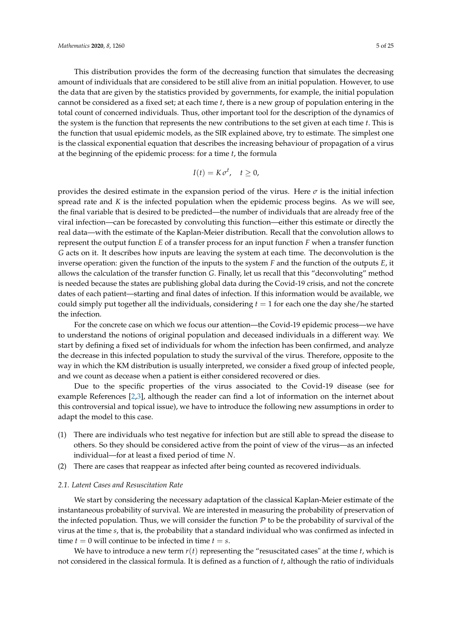This distribution provides the form of the decreasing function that simulates the decreasing amount of individuals that are considered to be still alive from an initial population. However, to use the data that are given by the statistics provided by governments, for example, the initial population cannot be considered as a fixed set; at each time *t*, there is a new group of population entering in the total count of concerned individuals. Thus, other important tool for the description of the dynamics of the system is the function that represents the new contributions to the set given at each time *t*. This is the function that usual epidemic models, as the SIR explained above, try to estimate. The simplest one is the classical exponential equation that describes the increasing behaviour of propagation of a virus at the beginning of the epidemic process: for a time *t*, the formula

$$
I(t) = K\sigma^t, \quad t \ge 0,
$$

provides the desired estimate in the expansion period of the virus. Here  $\sigma$  is the initial infection spread rate and *K* is the infected population when the epidemic process begins. As we will see, the final variable that is desired to be predicted—the number of individuals that are already free of the viral infection—can be forecasted by convoluting this function—either this estimate or directly the real data—with the estimate of the Kaplan-Meier distribution. Recall that the convolution allows to represent the output function *E* of a transfer process for an input function *F* when a transfer function *G* acts on it. It describes how inputs are leaving the system at each time. The deconvolution is the inverse operation: given the function of the inputs to the system *F* and the function of the outputs *E*, it allows the calculation of the transfer function *G*. Finally, let us recall that this "deconvoluting" method is needed because the states are publishing global data during the Covid-19 crisis, and not the concrete dates of each patient—starting and final dates of infection. If this information would be available, we could simply put together all the individuals, considering *t* = 1 for each one the day she/he started the infection.

For the concrete case on which we focus our attention—the Covid-19 epidemic process—we have to understand the notions of original population and deceased individuals in a different way. We start by defining a fixed set of individuals for whom the infection has been confirmed, and analyze the decrease in this infected population to study the survival of the virus. Therefore, opposite to the way in which the KM distribution is usually interpreted, we consider a fixed group of infected people, and we count as decease when a patient is either considered recovered or dies.

Due to the specific properties of the virus associated to the Covid-19 disease (see for example References [\[2,](#page-23-18)[3\]](#page-23-1), although the reader can find a lot of information on the internet about this controversial and topical issue), we have to introduce the following new assumptions in order to adapt the model to this case.

- (1) There are individuals who test negative for infection but are still able to spread the disease to others. So they should be considered active from the point of view of the virus—as an infected individual—for at least a fixed period of time *N*.
- (2) There are cases that reappear as infected after being counted as recovered individuals.

# <span id="page-4-0"></span>*2.1. Latent Cases and Resuscitation Rate*

We start by considering the necessary adaptation of the classical Kaplan-Meier estimate of the instantaneous probability of survival. We are interested in measuring the probability of preservation of the infected population. Thus, we will consider the function  $P$  to be the probability of survival of the virus at the time *s*, that is, the probability that a standard individual who was confirmed as infected in time  $t = 0$  will continue to be infected in time  $t = s$ .

We have to introduce a new term  $r(t)$  representing the "resuscitated cases" at the time  $t$ , which is not considered in the classical formula. It is defined as a function of *t*, although the ratio of individuals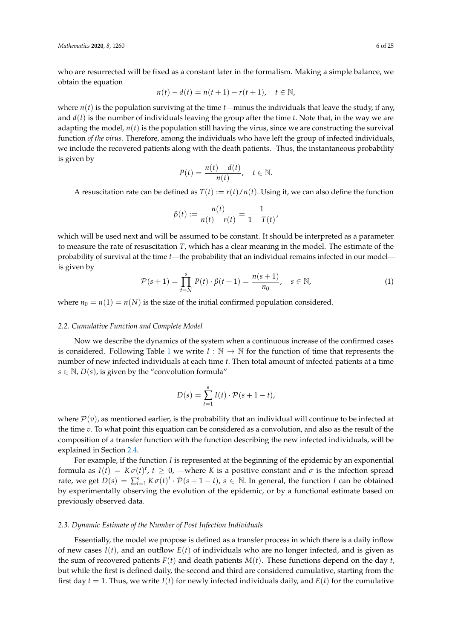who are resurrected will be fixed as a constant later in the formalism. Making a simple balance, we obtain the equation

$$
n(t) - d(t) = n(t+1) - r(t+1), \quad t \in \mathbb{N},
$$

where  $n(t)$  is the population surviving at the time  $t$ —minus the individuals that leave the study, if any, and *d*(*t*) is the number of individuals leaving the group after the time *t*. Note that, in the way we are adapting the model,  $n(t)$  is the population still having the virus, since we are constructing the survival function *of the virus.* Therefore, among the individuals who have left the group of infected individuals, we include the recovered patients along with the death patients. Thus, the instantaneous probability is given by

$$
P(t) = \frac{n(t) - d(t)}{n(t)}, \quad t \in \mathbb{N}.
$$

A resuscitation rate can be defined as  $T(t) := r(t)/n(t)$ . Using it, we can also define the function

$$
\beta(t) := \frac{n(t)}{n(t) - r(t)} = \frac{1}{1 - T(t)},
$$

which will be used next and will be assumed to be constant. It should be interpreted as a parameter to measure the rate of resuscitation *T*, which has a clear meaning in the model. The estimate of the probability of survival at the time *t*—the probability that an individual remains infected in our model is given by

$$
\mathcal{P}(s+1) = \prod_{t=N}^{s} P(t) \cdot \beta(t+1) = \frac{n(s+1)}{n_0}, \quad s \in \mathbb{N},
$$
 (1)

where  $n_0 = n(1) = n(N)$  is the size of the initial confirmed population considered.

# *2.2. Cumulative Function and Complete Model*

Now we describe the dynamics of the system when a continuous increase of the confirmed cases is considered. Following Table [1](#page-1-0) we write  $I : \mathbb{N} \to \mathbb{N}$  for the function of time that represents the number of new infected individuals at each time *t*. Then total amount of infected patients at a time  $s \in \mathbb{N}$ , *D*(*s*), is given by the "convolution formula"

$$
D(s) = \sum_{t=1}^{s} I(t) \cdot \mathcal{P}(s+1-t),
$$

where  $\mathcal{P}(v)$ , as mentioned earlier, is the probability that an individual will continue to be infected at the time *v*. To what point this equation can be considered as a convolution, and also as the result of the composition of a transfer function with the function describing the new infected individuals, will be explained in Section [2.4.](#page-7-0)

For example, if the function *I* is represented at the beginning of the epidemic by an exponential formula as  $I(t) = K\sigma(t)^t$ ,  $t \geq 0$ , —where K is a positive constant and  $\sigma$  is the infection spread rate, we get  $D(s) = \sum_{t=1}^{s} K\sigma(t)^{t} \cdot \mathcal{P}(s+1-t)$ ,  $s \in \mathbb{N}$ . In general, the function *I* can be obtained by experimentally observing the evolution of the epidemic, or by a functional estimate based on previously observed data.

# *2.3. Dynamic Estimate of the Number of Post Infection Individuals*

Essentially, the model we propose is defined as a transfer process in which there is a daily inflow of new cases *I*(*t*), and an outflow *E*(*t*) of individuals who are no longer infected, and is given as the sum of recovered patients  $F(t)$  and death patients  $M(t)$ . These functions depend on the day  $t$ , but while the first is defined daily, the second and third are considered cumulative, starting from the first day  $t = 1$ . Thus, we write  $I(t)$  for newly infected individuals daily, and  $E(t)$  for the cumulative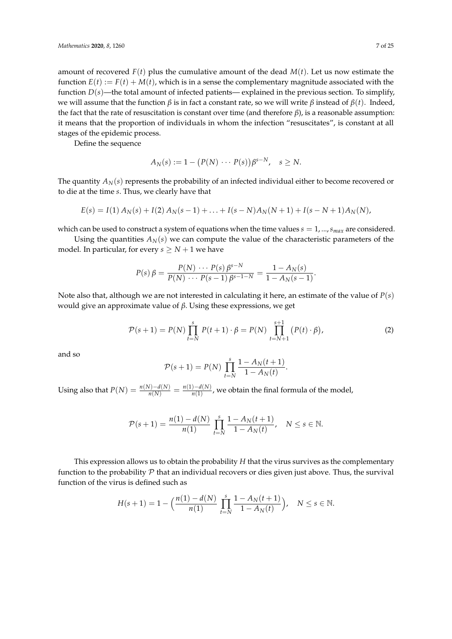amount of recovered  $F(t)$  plus the cumulative amount of the dead  $M(t)$ . Let us now estimate the function  $E(t) := F(t) + M(t)$ , which is in a sense the complementary magnitude associated with the function  $D(s)$ —the total amount of infected patients— explained in the previous section. To simplify, we will assume that the function *β* is in fact a constant rate, so we will write *β* instead of *β*(*t*). Indeed, the fact that the rate of resuscitation is constant over time (and therefore *β*), is a reasonable assumption: it means that the proportion of individuals in whom the infection "resuscitates", is constant at all stages of the epidemic process.

Define the sequence

$$
A_N(s) := 1 - (P(N) \cdots P(s))\beta^{s-N}, \quad s \ge N.
$$

The quantity  $A_N(s)$  represents the probability of an infected individual either to become recovered or to die at the time *s*. Thus, we clearly have that

$$
E(s) = I(1) AN(s) + I(2) AN(s-1) + ... + I(s-N) AN(N+1) + I(s-N+1) AN(N),
$$

which can be used to construct a system of equations when the time values  $s = 1, ..., s_{max}$  are considered.

Using the quantities  $A_N(s)$  we can compute the value of the characteristic parameters of the model. In particular, for every  $s \geq N + 1$  we have

$$
P(s) \beta = \frac{P(N) \cdots P(s) \beta^{s-N}}{P(N) \cdots P(s-1) \beta^{s-1-N}} = \frac{1 - A_N(s)}{1 - A_N(s-1)}.
$$

Note also that, although we are not interested in calculating it here, an estimate of the value of *P*(*s*) would give an approximate value of *β*. Using these expressions, we get

$$
\mathcal{P}(s+1) = P(N) \prod_{t=N}^{s} P(t+1) \cdot \beta = P(N) \prod_{t=N+1}^{s+1} (P(t) \cdot \beta),
$$
 (2)

and so

$$
\mathcal{P}(s+1) = P(N) \prod_{t=N}^{s} \frac{1 - A_N(t+1)}{1 - A_N(t)}.
$$

Using also that  $P(N) = \frac{n(N) - d(N)}{n(N)} = \frac{n(1) - d(N)}{n(1)}$  $\frac{f(-u)(x)}{n(1)}$ , we obtain the final formula of the model,

$$
\mathcal{P}(s+1) = \frac{n(1) - d(N)}{n(1)} \prod_{t=N}^{s} \frac{1 - A_N(t+1)}{1 - A_N(t)}, \quad N \le s \in \mathbb{N}.
$$

This expression allows us to obtain the probability *H* that the virus survives as the complementary function to the probability  $\mathcal P$  that an individual recovers or dies given just above. Thus, the survival function of the virus is defined such as

$$
H(s+1) = 1 - \left(\frac{n(1) - d(N)}{n(1)} \prod_{t=N}^{s} \frac{1 - A_N(t+1)}{1 - A_N(t)}\right), \quad N \le s \in \mathbb{N}.
$$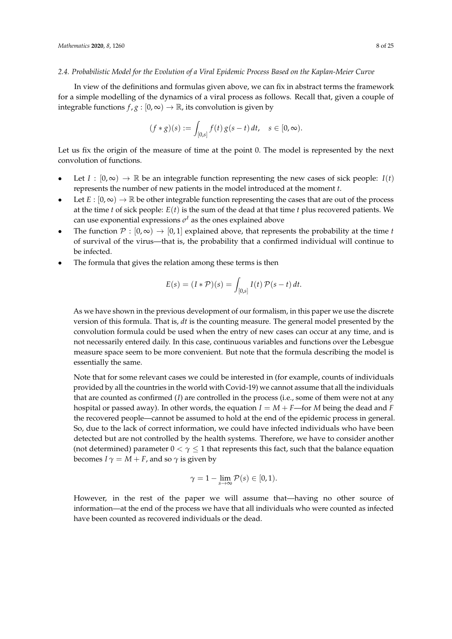#### <span id="page-7-0"></span>*2.4. Probabilistic Model for the Evolution of a Viral Epidemic Process Based on the Kaplan-Meier Curve*

In view of the definitions and formulas given above, we can fix in abstract terms the framework for a simple modelling of the dynamics of a viral process as follows. Recall that, given a couple of integrable functions  $f$ ,  $g$  :  $[0, \infty) \rightarrow \mathbb{R}$ , its convolution is given by

$$
(f * g)(s) := \int_{[0,s]} f(t) g(s-t) dt, \quad s \in [0,\infty).
$$

Let us fix the origin of the measure of time at the point 0. The model is represented by the next convolution of functions.

- Let  $I : [0, \infty) \to \mathbb{R}$  be an integrable function representing the new cases of sick people:  $I(t)$ represents the number of new patients in the model introduced at the moment *t*.
- Let  $E : [0, \infty) \to \mathbb{R}$  be other integrable function representing the cases that are out of the process at the time *t* of sick people: *E*(*t*) is the sum of the dead at that time *t* plus recovered patients. We  $c$  can use exponential expressions  $\sigma^t$  as the ones explained above
- The function  $\mathcal{P} : [0, \infty) \to [0, 1]$  explained above, that represents the probability at the time *t* of survival of the virus—that is, the probability that a confirmed individual will continue to be infected.
- The formula that gives the relation among these terms is then

$$
E(s) = (I * \mathcal{P})(s) = \int_{[0,s]} I(t) \mathcal{P}(s-t) dt.
$$

As we have shown in the previous development of our formalism, in this paper we use the discrete version of this formula. That is, *dt* is the counting measure. The general model presented by the convolution formula could be used when the entry of new cases can occur at any time, and is not necessarily entered daily. In this case, continuous variables and functions over the Lebesgue measure space seem to be more convenient. But note that the formula describing the model is essentially the same.

Note that for some relevant cases we could be interested in (for example, counts of individuals provided by all the countries in the world with Covid-19) we cannot assume that all the individuals that are counted as confirmed (*I*) are controlled in the process (i.e., some of them were not at any hospital or passed away). In other words, the equation  $I = M + F$ —for *M* being the dead and *F* the recovered people—cannot be assumed to hold at the end of the epidemic process in general. So, due to the lack of correct information, we could have infected individuals who have been detected but are not controlled by the health systems. Therefore, we have to consider another (not determined) parameter  $0 < \gamma \leq 1$  that represents this fact, such that the balance equation becomes  $I \gamma = M + F$ , and so  $\gamma$  is given by

$$
\gamma = 1 - \lim_{s \to \infty} \mathcal{P}(s) \in [0, 1).
$$

However, in the rest of the paper we will assume that—having no other source of information—at the end of the process we have that all individuals who were counted as infected have been counted as recovered individuals or the dead.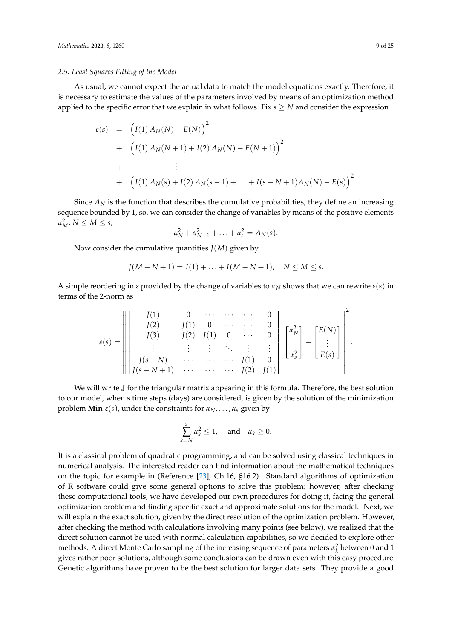### <span id="page-8-0"></span>*2.5. Least Squares Fitting of the Model*

As usual, we cannot expect the actual data to match the model equations exactly. Therefore, it is necessary to estimate the values of the parameters involved by means of an optimization method applied to the specific error that we explain in what follows. Fix  $s \geq N$  and consider the expression

$$
\varepsilon(s) = (I(1) A_N(N) - E(N))^{2}
$$
  
+ 
$$
(I(1) A_N(N + 1) + I(2) A_N(N) - E(N + 1))^{2}
$$
  
+ 
$$
\vdots
$$
  
+ 
$$
(I(1) A_N(s) + I(2) A_N(s - 1) + ... + I(s - N + 1) A_N(N) - E(s))^{2}.
$$

Since  $A_N$  is the function that describes the cumulative probabilities, they define an increasing sequence bounded by 1, so, we can consider the change of variables by means of the positive elements  $α<sup>2</sup><sub>M</sub>$ ,  $N ≤ M ≤ s$ ,

$$
\alpha_N^2 + \alpha_{N+1}^2 + \ldots + \alpha_s^2 = A_N(s).
$$

Now consider the cumulative quantities *J*(*M*) given by

$$
J(M - N + 1) = I(1) + \ldots + I(M - N + 1), \quad N \le M \le s.
$$

A simple reordering in  $\varepsilon$  provided by the change of variables to  $\alpha_N$  shows that we can rewrite  $\varepsilon(s)$  in terms of the 2-norm as

$$
\varepsilon(s) = \left\| \begin{bmatrix} J(1) & 0 & \cdots & \cdots & 0 \\ J(2) & J(1) & 0 & \cdots & 0 \\ J(3) & J(2) & J(1) & 0 & \cdots & 0 \\ \vdots & \vdots & \vdots & \ddots & \vdots & \vdots \\ J(s-N) & \cdots & \cdots & \cdots & J(1) & 0 \\ J(s-N+1) & \cdots & \cdots & \cdots & J(2) & J(1) \end{bmatrix} \begin{bmatrix} \alpha_N^2 \\ \vdots \\ \alpha_s^2 \end{bmatrix} - \begin{bmatrix} E(N) \\ \vdots \\ E(s) \end{bmatrix} \right\|^2.
$$

We will write  $\mathbb J$  for the triangular matrix appearing in this formula. Therefore, the best solution to our model, when *s* time steps (days) are considered, is given by the solution of the minimization problem **Min**  $\varepsilon(s)$ , under the constraints for  $\alpha_N, \ldots, \alpha_s$  given by

$$
\sum_{k=N}^s \alpha_k^2 \le 1, \quad \text{and} \quad \alpha_k \ge 0.
$$

It is a classical problem of quadratic programming, and can be solved using classical techniques in numerical analysis. The interested reader can find information about the mathematical techniques on the topic for example in (Reference [\[23\]](#page-24-2), Ch.16, §16.2). Standard algorithms of optimization of R software could give some general options to solve this problem; however, after checking these computational tools, we have developed our own procedures for doing it, facing the general optimization problem and finding specific exact and approximate solutions for the model. Next, we will explain the exact solution, given by the direct resolution of the optimization problem. However, after checking the method with calculations involving many points (see below), we realized that the direct solution cannot be used with normal calculation capabilities, so we decided to explore other methods. A direct Monte Carlo sampling of the increasing sequence of parameters  $\alpha_k^2$  between 0 and 1 gives rather poor solutions, although some conclusions can be drawn even with this easy procedure. Genetic algorithms have proven to be the best solution for larger data sets. They provide a good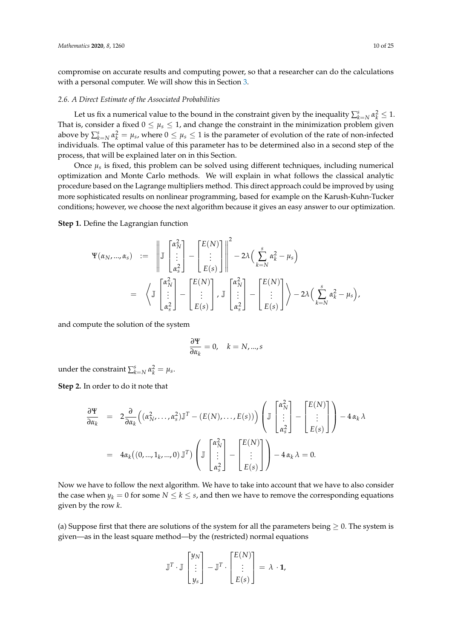compromise on accurate results and computing power, so that a researcher can do the calculations with a personal computer. We will show this in Section [3.](#page-12-1)

#### <span id="page-9-0"></span>*2.6. A Direct Estimate of the Associated Probabilities*

Let us fix a numerical value to the bound in the constraint given by the inequality  $\sum_{k=N}^s \alpha_k^2 \leq 1$ . That is, consider a fixed  $0 \leq \mu_s \leq 1$ , and change the constraint in the minimization problem given above by  $\sum_{k=N}^{s} \alpha_k^2 = \mu_s$ , where  $0 \leq \mu_s \leq 1$  is the parameter of evolution of the rate of non-infected individuals. The optimal value of this parameter has to be determined also in a second step of the process, that will be explained later on in this Section.

Once *µ<sup>s</sup>* is fixed, this problem can be solved using different techniques, including numerical optimization and Monte Carlo methods. We will explain in what follows the classical analytic procedure based on the Lagrange multipliers method. This direct approach could be improved by using more sophisticated results on nonlinear programming, based for example on the Karush-Kuhn-Tucker conditions; however, we choose the next algorithm because it gives an easy answer to our optimization.

**Step 1.** Define the Lagrangian function

$$
\Psi(\alpha_N, ..., \alpha_s) \quad := \quad \left\| \mathbb{J} \begin{bmatrix} \alpha_N^2 \\ \vdots \\ \alpha_s^2 \end{bmatrix} - \begin{bmatrix} E(N) \\ \vdots \\ E(s) \end{bmatrix} \right\|^2 - 2\lambda \left( \sum_{k=N}^s \alpha_k^2 - \mu_s \right)
$$
\n
$$
= \quad \left\langle \mathbb{J} \begin{bmatrix} \alpha_N^2 \\ \vdots \\ \alpha_s^2 \end{bmatrix} - \begin{bmatrix} E(N) \\ \vdots \\ E(s) \end{bmatrix}, \mathbb{J} \begin{bmatrix} \alpha_N^2 \\ \vdots \\ \alpha_s^2 \end{bmatrix} - \begin{bmatrix} E(N) \\ \vdots \\ E(s) \end{bmatrix} \right\rangle - 2\lambda \left( \sum_{k=N}^s \alpha_k^2 - \mu_s \right).
$$

and compute the solution of the system

$$
\frac{\partial \Psi}{\partial \alpha_k} = 0, \quad k = N, ..., s
$$

under the constraint  $\sum_{k=N}^{s} \alpha_k^2 = \mu_s$ .

**Step 2.** In order to do it note that

$$
\frac{\partial \Psi}{\partial \alpha_k} = 2 \frac{\partial}{\partial \alpha_k} \Big( (\alpha_{N}^2, \dots, \alpha_s^2) \mathbb{J}^T - (E(N), \dots, E(s)) \Big) \left( \mathbb{J} \begin{bmatrix} \alpha_N^2 \\ \vdots \\ \alpha_s^2 \end{bmatrix} - \begin{bmatrix} E(N) \\ \vdots \\ E(s) \end{bmatrix} \right) - 4 \alpha_k \lambda
$$
  
=  $4 \alpha_k ((0, \dots, 1_k, \dots, 0) \mathbb{J}^T) \left( \mathbb{J} \begin{bmatrix} \alpha_N^2 \\ \vdots \\ \alpha_s^2 \end{bmatrix} - \begin{bmatrix} E(N) \\ \vdots \\ E(s) \end{bmatrix} \right) - 4 \alpha_k \lambda = 0.$ 

Now we have to follow the next algorithm. We have to take into account that we have to also consider the case when  $y_k = 0$  for some  $N \le k \le s$ , and then we have to remove the corresponding equations given by the row *k*.

(a) Suppose first that there are solutions of the system for all the parameters being  $\geq 0$ . The system is given—as in the least square method—by the (restricted) normal equations

$$
\mathbb{J}^T \cdot \mathbb{J} \begin{bmatrix} y_N \\ \vdots \\ y_s \end{bmatrix} - \mathbb{J}^T \cdot \begin{bmatrix} E(N) \\ \vdots \\ E(s) \end{bmatrix} = \lambda \cdot \mathbf{1},
$$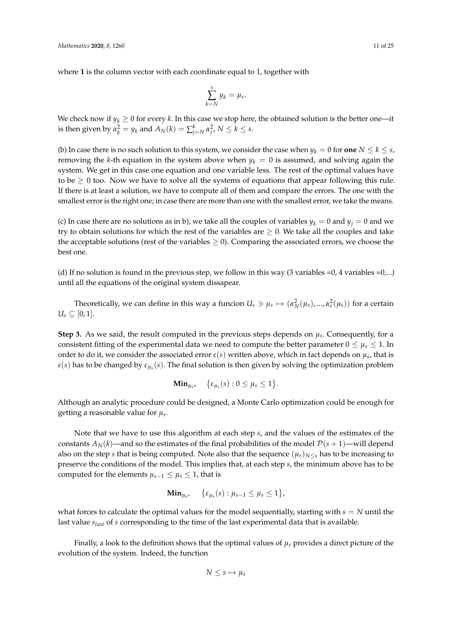where **1** is the column vector with each coordinate equal to 1, together with

$$
\sum_{k=N}^{s} y_k = \mu_s.
$$

We check now if  $y_k \geq 0$  for every *k*. In this case we stop here, the obtained solution is the better one—it is then given by  $\alpha_k^2 = y_k$  and  $A_N(k) = \sum_{j=N}^k \alpha_j^2$ ,  $N \leq k \leq s$ .

(b) In case there is no such solution to this system, we consider the case when  $y_k = 0$  for one  $N \leq k \leq s$ , removing the *k*-th equation in the system above when  $y_k = 0$  is assumed, and solving again the system. We get in this case one equation and one variable less. The rest of the optimal values have to be  $> 0$  too. Now we have to solve all the systems of equations that appear following this rule. If there is at least a solution, we have to compute all of them and compare the errors. The one with the smallest error is the right one; in case there are more than one with the smallest error, we take the means.

(c) In case there are no solutions as in b), we take all the couples of variables  $\psi_k = 0$  and  $\psi_j = 0$  and we try to obtain solutions for which the rest of the variables are  $\geq 0$ . We take all the couples and take the acceptable solutions (rest of the variables  $\geq$  0). Comparing the associated errors, we choose the best one.

(d) If no solution is found in the previous step, we follow in this way (3 variables  $=0$ , 4 variables  $=0$ ,...) until all the equations of the original system dissapear.

Theoretically, we can define in this way a funcion  $U_s \ni \mu_s \mapsto (\alpha_N^2(\mu_s), ..., \alpha_s^2(\mu_s))$  for a certain  $U_s \subseteq [0,1].$ 

**Step 3.** As we said, the result computed in the previous steps depends on  $\mu_s$ . Consequently, for a consistent fitting of the experimental data we need to compute the better parameter  $0 \leq \mu_s \leq 1$ . In order to do it, we consider the associated error  $\varepsilon(s)$  written above, which in fact depends on  $\mu_s$ , that is  $\varepsilon(s)$  has to be changed by  $\varepsilon_{\mu_s}(s)$ . The final solution is then given by solving the optimization problem

$$
\mathbf{Min}_{\mu_s}, \quad \{\varepsilon_{\mu_s}(s) : 0 \leq \mu_s \leq 1\}.
$$

Although an analytic procedure could be designed, a Monte Carlo optimization could be enough for getting a reasonable value for *µs* .

Note that we have to use this algorithm at each step *s*, and the values of the estimates of the constants  $A_N(k)$ —and so the estimates of the final probabilities of the model  $P(s + 1)$ —will depend also on the step *s* that is being computed. Note also that the sequence  $(\mu_s)_{N\leq s}$  has to be increasing to preserve the conditions of the model. This implies that, at each step *s*, the minimum above has to be computed for the elements  $\mu_{s-1} \leq \mu_s \leq 1$ , that is

$$
\mathbf{Min}_{\mu_s}, \quad \{\varepsilon_{\mu_s}(s) : \mu_{s-1} \leq \mu_s \leq 1\},
$$

what forces to calculate the optimal values for the model sequentially, starting with  $s = N$  until the last value *slast* of *s* corresponding to the time of the last experimental data that is available.

Finally, a look to the definition shows that the optimal values of  $\mu_s$  provides a direct picture of the evolution of the system. Indeed, the function

$$
N\leq s\mapsto \mu_s
$$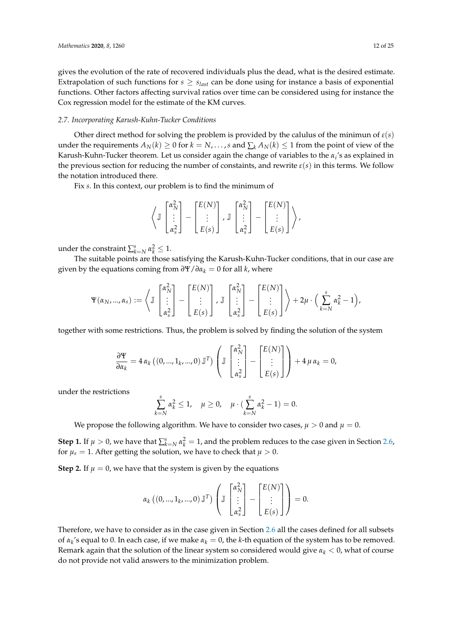gives the evolution of the rate of recovered individuals plus the dead, what is the desired estimate. Extrapolation of such functions for  $s \geq s_{last}$  can be done using for instance a basis of exponential functions. Other factors affecting survival ratios over time can be considered using for instance the Cox regression model for the estimate of the KM curves.

# <span id="page-11-0"></span>*2.7. Incorporating Karush-Kuhn-Tucker Conditions*

Other direct method for solving the problem is provided by the calulus of the minimun of *ε*(*s*) under the requirements  $A_N(k) \geq 0$  for  $k = N, \ldots, s$  and  $\sum_k A_N(k) \leq 1$  from the point of view of the Karush-Kuhn-Tucker theorem. Let us consider again the change of variables to the *α<sup>i</sup>* 's as explained in the previous section for reducing the number of constaints, and rewrite *ε*(*s*) in this terms. We follow the notation introduced there.

Fix *s*. In this context, our problem is to find the minimum of

$$
\left\langle \mathbb{J}\begin{bmatrix} \alpha_N^2 \\ \vdots \\ \alpha_s^2 \end{bmatrix} - \begin{bmatrix} E(N) \\ \vdots \\ E(s) \end{bmatrix}, \mathbb{J}\begin{bmatrix} \alpha_N^2 \\ \vdots \\ \alpha_s^2 \end{bmatrix} - \begin{bmatrix} E(N) \\ \vdots \\ E(s) \end{bmatrix} \right\rangle,
$$

under the constraint  $\sum_{k=N}^{s} \alpha_k^2 \leq 1$ .

The suitable points are those satisfying the Karush-Kuhn-Tucker conditions, that in our case are given by the equations coming from  $\frac{\partial \Psi}{\partial \alpha_k} = 0$  for all *k*, where

$$
\Psi(\alpha_N, ..., \alpha_s) := \left\langle \mathbb{J} \begin{bmatrix} \alpha_N^2 \\ \vdots \\ \alpha_s^2 \end{bmatrix} - \begin{bmatrix} E(N) \\ \vdots \\ E(s) \end{bmatrix}, \mathbb{J} \begin{bmatrix} \alpha_N^2 \\ \vdots \\ \alpha_s^2 \end{bmatrix} - \begin{bmatrix} E(N) \\ \vdots \\ E(s) \end{bmatrix} \right\rangle + 2\mu \cdot \left( \sum_{k=N}^s \alpha_k^2 - 1 \right),
$$

together with some restrictions. Thus, the problem is solved by finding the solution of the system

$$
\frac{\partial \Psi}{\partial \alpha_k} = 4 \alpha_k \left( (0, ..., 1_k, ..., 0) \mathbb{J}^T \right) \left( \mathbb{J} \begin{bmatrix} \alpha_N^2 \\ \vdots \\ \alpha_s^2 \end{bmatrix} - \begin{bmatrix} E(N) \\ \vdots \\ E(s) \end{bmatrix} \right) + 4 \mu \alpha_k = 0,
$$

under the restrictions

$$
\sum_{k=N}^{s} \alpha_k^2 \le 1, \quad \mu \ge 0, \quad \mu \cdot (\sum_{k=N}^{s} \alpha_k^2 - 1) = 0.
$$

We propose the following algorithm. We have to consider two cases,  $\mu > 0$  and  $\mu = 0$ .

**Step 1.** If  $\mu > 0$ , we have that  $\sum_{k=N}^{s} \alpha_k^2 = 1$ , and the problem reduces to the case given in Section [2.6,](#page-9-0) for  $\mu_s = 1$ . After getting the solution, we have to check that  $\mu > 0$ .

**Step 2.** If  $\mu = 0$ , we have that the system is given by the equations

*k*=*N*

$$
\alpha_k ((0,...,1_k,...,0) \mathbb{J}^T) \left( \mathbb{J} \begin{bmatrix} \alpha_N^2 \\ \vdots \\ \alpha_s^2 \end{bmatrix} - \begin{bmatrix} E(N) \\ \vdots \\ E(s) \end{bmatrix} \right) = 0.
$$

Therefore, we have to consider as in the case given in Section [2.6](#page-9-0) all the cases defined for all subsets of  $\alpha_k$ 's equal to 0. In each case, if we make  $\alpha_k = 0$ , the *k*-th equation of the system has to be removed. Remark again that the solution of the linear system so considered would give *α<sup>k</sup>* < 0, what of course do not provide not valid answers to the minimization problem.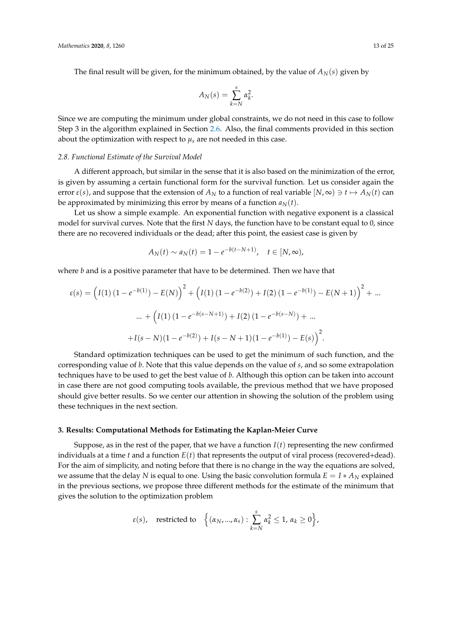The final result will be given, for the minimum obtained, by the value of  $A_N(s)$  given by

$$
A_N(s) = \sum_{k=N}^{s} \alpha_k^2.
$$

Since we are computing the minimum under global constraints, we do not need in this case to follow Step 3 in the algorithm explained in Section [2.6.](#page-9-0) Also, the final comments provided in this section about the optimization with respect to  $\mu_s$  are not needed in this case.

# <span id="page-12-0"></span>*2.8. Functional Estimate of the Survival Model*

A different approach, but similar in the sense that it is also based on the minimization of the error, is given by assuming a certain functional form for the survival function. Let us consider again the error  $\varepsilon(s)$ , and suppose that the extension of  $A_N$  to a function of real variable  $[N, \infty) \ni t \mapsto A_N(t)$  can be approximated by minimizing this error by means of a function  $a_N(t)$ .

Let us show a simple example. An exponential function with negative exponent is a classical model for survival curves. Note that the first *N* days, the function have to be constant equal to 0, since there are no recovered individuals or the dead; after this point, the easiest case is given by

$$
A_N(t) \sim a_N(t) = 1 - e^{-b(t-N+1)}, \quad t \in [N, \infty),
$$

where *b* and is a positive parameter that have to be determined. Then we have that

$$
\varepsilon(s) = \left( I(1) \left( 1 - e^{-b(1)} \right) - E(N) \right)^2 + \left( I(1) \left( 1 - e^{-b(2)} \right) + I(2) \left( 1 - e^{-b(1)} \right) - E(N+1) \right)^2 + \dots
$$
  
 
$$
\dots + \left( I(1) \left( 1 - e^{-b(s-N+1)} \right) + I(2) \left( 1 - e^{-b(s-N)} \right) + \dots
$$
  
 
$$
+ I(s-N) \left( 1 - e^{-b(2)} \right) + I(s-N+1) \left( 1 - e^{-b(1)} \right) - E(s) \right)^2.
$$

Standard optimization techniques can be used to get the minimum of such function, and the corresponding value of *b*. Note that this value depends on the value of *s*, and so some extrapolation techniques have to be used to get the best value of *b*. Although this option can be taken into account in case there are not good computing tools available, the previous method that we have proposed should give better results. So we center our attention in showing the solution of the problem using these techniques in the next section.

# <span id="page-12-1"></span>**3. Results: Computational Methods for Estimating the Kaplan-Meier Curve**

Suppose, as in the rest of the paper, that we have a function  $I(t)$  representing the new confirmed individuals at a time *t* and a function  $E(t)$  that represents the output of viral process (recovered+dead). For the aim of simplicity, and noting before that there is no change in the way the equations are solved, we assume that the delay *N* is equal to one. Using the basic convolution formula  $E = I * A_N$  explained in the previous sections, we propose three different methods for the estimate of the minimum that gives the solution to the optimization problem

$$
\varepsilon(s)
$$
, restricted to  $\left\{ (\alpha_N, ..., \alpha_s) : \sum_{k=N}^s \alpha_k^2 \le 1, \alpha_k \ge 0 \right\}$ ,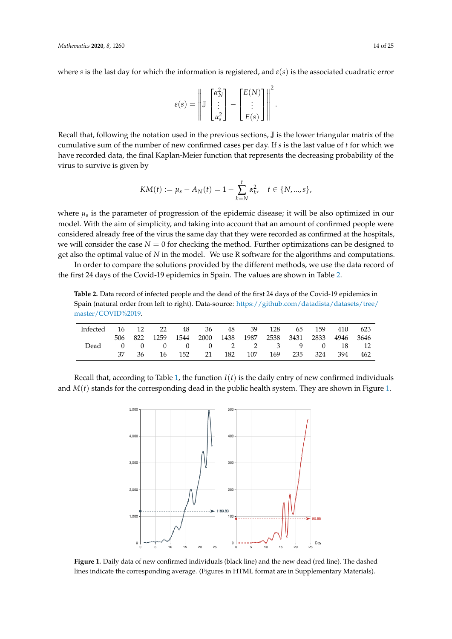where *s* is the last day for which the information is registered, and *ε*(*s*) is the associated cuadratic error

$$
\varepsilon(s) = \left\| \mathbb{J} \begin{bmatrix} \alpha_N^2 \\ \vdots \\ \alpha_s^2 \end{bmatrix} - \begin{bmatrix} E(N) \\ \vdots \\ E(s) \end{bmatrix} \right\|^2.
$$

Recall that, following the notation used in the previous sections,  $J$  is the lower triangular matrix of the cumulative sum of the number of new confirmed cases per day. If *s* is the last value of *t* for which we have recorded data, the final Kaplan-Meier function that represents the decreasing probability of the virus to survive is given by

$$
KM(t) := \mu_s - A_N(t) = 1 - \sum_{k=N}^{t} \alpha_k^2, \quad t \in \{N, ..., s\},
$$

where  $\mu_s$  is the parameter of progression of the epidemic disease; it will be also optimized in our model. With the aim of simplicity, and taking into account that an amount of confirmed people were considered already free of the virus the same day that they were recorded as confirmed at the hospitals, we will consider the case  $N = 0$  for checking the method. Further optimizations can be designed to get also the optimal value of *N* in the model. We use R software for the algorithms and computations.

In order to compare the solutions provided by the different methods, we use the data record of the first 24 days of the Covid-19 epidemics in Spain. The values are shown in Table [2.](#page-13-0)

<span id="page-13-0"></span>**Table 2.** Data record of infected people and the dead of the first 24 days of the Covid-19 epidemics in Spain (natural order from left to right). Data-source: [https://github.com/datadista/datasets/tree/](https://github.com/datadista/datasets/tree/master/COVID%2019) [master/COVID%2019.](https://github.com/datadista/datasets/tree/master/COVID%2019)

| Infected | 16 12   | 22 48 36 48 39 128 65     |     |  |                                    |  | 159 | 410       | 623 |
|----------|---------|---------------------------|-----|--|------------------------------------|--|-----|-----------|-----|
|          | 506 822 | 1259                      |     |  | 1544 2000 1438 1987 2538 3431 2833 |  |     | 4946 3646 |     |
| Dead     |         | 0 0 0 0 0 2 2 3 9 0 18 12 |     |  |                                    |  |     |           |     |
|          |         | -16                       | 152 |  | 21 182 107 169 235 324             |  |     | 394       | 462 |

<span id="page-13-1"></span>Recall that, according to Table [1,](#page-1-0) the function  $I(t)$  is the daily entry of new confirmed individuals and *M*(*t*) stands for the corresponding dead in the public health system. They are shown in Figure [1.](#page-13-1)



**Figure 1.** Daily data of new confirmed individuals (black line) and the new dead (red line). The dashed lines indicate the corresponding average. (Figures in HTML format are in Supplementary Materials).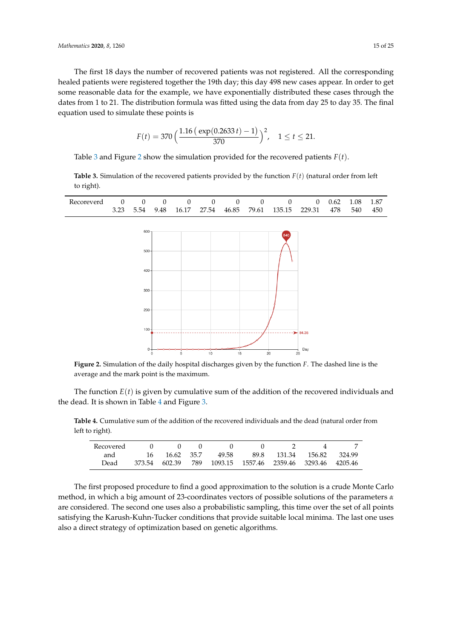The first 18 days the number of recovered patients was not registered. All the corresponding healed patients were registered together the 19th day; this day 498 new cases appear. In order to get some reasonable data for the example, we have exponentially distributed these cases through the dates from 1 to 21. The distribution formula was fitted using the data from day 25 to day 35. The final equation used to simulate these points is

$$
F(t) = 370 \left( \frac{1.16 \left( \exp(0.2633 t) - 1 \right)}{370} \right)^2, \quad 1 \le t \le 21.
$$

Table [3](#page-14-0) and Figure [2](#page-14-1) show the simulation provided for the recovered patients *F*(*t*).

<span id="page-14-0"></span>**Table 3.** Simulation of the recovered patients provided by the function  $F(t)$  (natural order from left to right).

<span id="page-14-1"></span>

**Figure 2.** Simulation of the daily hospital discharges given by the function *F*. The dashed line is the average and the mark point is the maximum.

The function *E*(*t*) is given by cumulative sum of the addition of the recovered individuals and the dead. It is shown in Table [4](#page-14-2) and Figure [3.](#page-15-1)

<span id="page-14-2"></span>**Table 4.** Cumulative sum of the addition of the recovered individuals and the dead (natural order from left to right).

| Recovered |        |        |        |       |      |                                         |        |        |
|-----------|--------|--------|--------|-------|------|-----------------------------------------|--------|--------|
| and       | 16     | 16.62  | - 35.7 | 49.58 | 89.8 | 131.34                                  | 156.82 | 324.99 |
| Dead      | 373.54 | 602.39 | 789    |       |      | 1093.15 1557.46 2359.46 3293.46 4205.46 |        |        |

The first proposed procedure to find a good approximation to the solution is a crude Monte Carlo method, in which a big amount of 23-coordinates vectors of possible solutions of the parameters *α* are considered. The second one uses also a probabilistic sampling, this time over the set of all points satisfying the Karush-Kuhn-Tucker conditions that provide suitable local minima. The last one uses also a direct strategy of optimization based on genetic algorithms.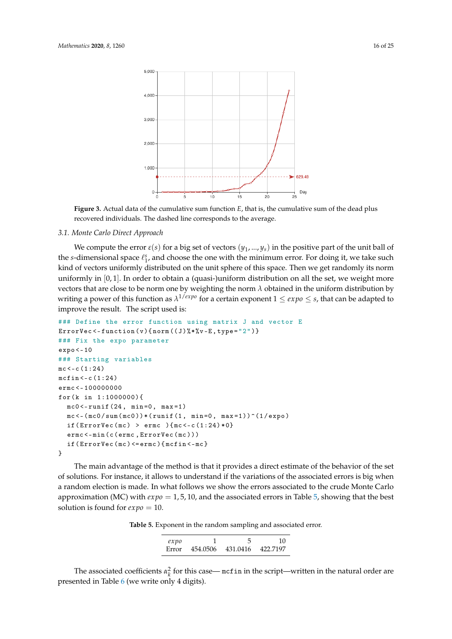<span id="page-15-1"></span>

**Figure 3.** Actual data of the cumulative sum function *E*, that is, the cumulative sum of the dead plus recovered individuals. The dashed line corresponds to the average.

# <span id="page-15-0"></span>*3.1. Monte Carlo Direct Approach*

We compute the error  $\varepsilon(s)$  for a big set of vectors  $(y_1, \ldots, y_s)$  in the positive part of the unit ball of the *s*-dimensional space  $\ell_1^s$ , and choose the one with the minimum error. For doing it, we take such kind of vectors uniformly distributed on the unit sphere of this space. Then we get randomly its norm uniformly in [0, 1]. In order to obtain a (quasi-)uniform distribution on all the set, we weight more vectors that are close to be norm one by weighting the norm *λ* obtained in the uniform distribution by writing a power of this function as  $\lambda^{1/expo}$  for a certain exponent  $1 \leq expo \leq s$ , that can be adapted to improve the result. The script used is:

```
### Define the error function using matrix J and vector E
ErrorVec < - function (v) {norm ((J) % * % v - E, type = "2")}
### Fix the expo parameter
expo < -10### Starting variables
mc < -c (1:24)mcfin <-c(1:24)ermc <- 100000000
for ( k in 1: 1000000){
  mc0 < -runif (24, min=0, max=1)
  mc < - (mc0 / sum(mc0)) * (runif(1, min=0, max=1))^(1 / exp0)if (ErrorVec(mc) > ermc) {mc < -c (1:24) *0}
  ermc <- min ( c ( ermc , ErrorVec ( mc )))
  if ( ErrorVec ( mc ) <= ermc ){ mcfin <- mc }
}
```
The main advantage of the method is that it provides a direct estimate of the behavior of the set of solutions. For instance, it allows to understand if the variations of the associated errors is big when a random election is made. In what follows we show the errors associated to the crude Monte Carlo approximation (MC) with *expo* = 1, 5, 10, and the associated errors in Table [5,](#page-15-2) showing that the best solution is found for *expo* = 10.

**Table 5.** Exponent in the random sampling and associated error.

| expo |                         | -5 | 10       |
|------|-------------------------|----|----------|
|      | Error 454.0506 431.0416 |    | 422.7197 |

<span id="page-15-2"></span>The associated coefficients  $\alpha_k^2$  for this case— mcfin in the script—written in the natural order are presented in Table [6](#page-16-1) (we write only 4 digits).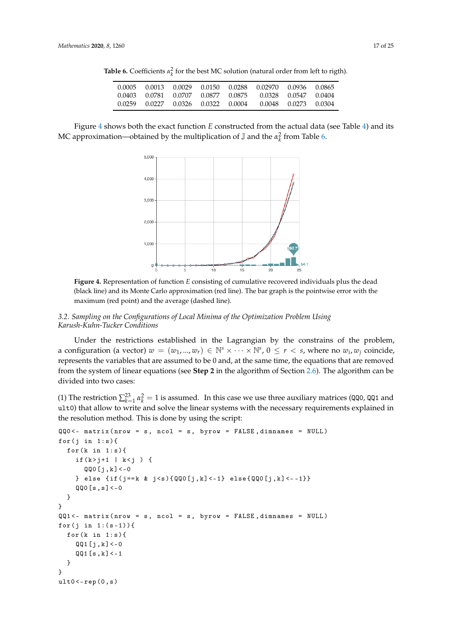<span id="page-16-1"></span>**Table 6.** Coefficients  $\alpha_k^2$  for the best MC solution (natural order from left to rigth).

|  |  | $0.0005$ $0.0013$ $0.0029$ $0.0150$ $0.0288$ $0.02970$ $0.0936$ $0.0865$ |  |
|--|--|--------------------------------------------------------------------------|--|
|  |  | 0.0403 0.0781 0.0707 0.0877 0.0875 0.0328 0.0547 0.0404                  |  |
|  |  | 0.0259 0.0227 0.0326 0.0322 0.0004 0.0048 0.0273 0.0304                  |  |

<span id="page-16-2"></span>Figure [4](#page-16-2) shows both the exact function *E* constructed from the actual data (see Table [4\)](#page-14-2) and its MC approximation—obtained by the multiplication of  $\mathbb J$  and the  $\alpha_k^2$  from Table [6.](#page-16-1)



**Figure 4.** Representation of function *E* consisting of cumulative recovered individuals plus the dead (black line) and its Monte Carlo approximation (red line). The bar graph is the pointwise error with the maximum (red point) and the average (dashed line).

# <span id="page-16-0"></span>*3.2. Sampling on the Configurations of Local Minima of the Optimization Problem Using Karush-Kuhn-Tucker Conditions*

Under the restrictions established in the Lagrangian by the constrains of the problem, a configuration (a vector)  $w = (w_1, ..., w_r) \in \mathbb{N}^s \times \cdots \times \mathbb{N}^s$ ,  $0 \le r < s$ , where no  $w_i, w_j$  coincide, represents the variables that are assumed to be 0 and, at the same time, the equations that are removed from the system of linear equations (see **Step 2** in the algorithm of Section [2.6\)](#page-9-0). The algorithm can be divided into two cases:

(1) The restriction  $\sum_{k=1}^{23} \alpha_k^2 = 1$  is assumed. In this case we use three auxiliary matrices (QQ0, QQ1 and ult0) that allow to write and solve the linear systems with the necessary requirements explained in the resolution method. This is done by using the script:

```
QQ0 <- matrix (nrow = s, ncol = s, byrow = FALSE, dimnames = NULL)
for (j in 1:s){
  for(k in 1:s){
     if (k > j + 1 | k < j) {
       QQ0 [j, k] < -0} else \{if (j == k \& j < s) {\mathcal{QQO}[j,k] < -1} \text{ else } {\mathcal{QQO}[j,k] < -1} \}QQ0 [s, s] < -0}
}
QQ1 <- matrix ( nrow = s , ncol = s , byrow = FALSE , dimnames = NULL )
for (j \in 1: (s-1)) {
  for ( k in 1:s ){
     QQ1 [j, k] <-0
     QQ1 [s, k] < -1}
}
ult0 < -rep(0, s)
```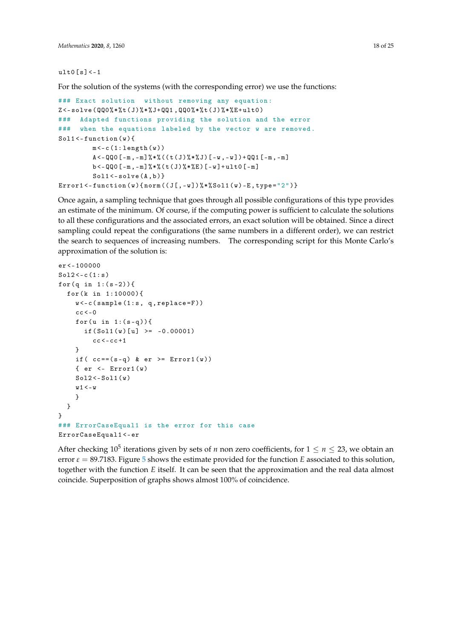#### ult0 [s] <-1

For the solution of the systems (with the corresponding error) we use the functions:

```
### Exact solution without removing any equation:
Z < - solve (QQ0% * %t (J) % * % J + QQ1, QQ0 % * %t (J) % * % E + ult0)
### Adapted functions providing the solution and the error
### when the equations labeled by the vector w are removed.
Sol1 < -function (w){
         m < -c (1: length(w))A < -QQO [-m, -m] % * % ((t(J) % * %J) [-w, -w]) + QQ1 [-m, -m]
         b < -QQ0 [-m, -m] % * (t(J) * *E) [-w] +ult0 [-m]
         Sol1 < -solve(A, b)Error1 <- function (w) {norm((J[, -w]) % * % Sol1 (w) - E, type = "2")}
```
Once again, a sampling technique that goes through all possible configurations of this type provides an estimate of the minimum. Of course, if the computing power is sufficient to calculate the solutions to all these configurations and the associated errors, an exact solution will be obtained. Since a direct sampling could repeat the configurations (the same numbers in a different order), we can restrict the search to sequences of increasing numbers. The corresponding script for this Monte Carlo's approximation of the solution is:

```
er <- 100000
Sol2 < -c(1:s)for (q \in 1: (s-2)) {
  for ( k in 1: 10000){
    w < -c (sample (1:s, q, replace = F))cc < -0for (u \in 1:(s-q)) {
      if (Sol1(w) [u] > = -0.00001)cc < -cc +1}
    if (c = (s - q) \& cr \geq Error1(w))\{ er \leq Error1(w)Sol2 < -Sol1(w)w1 < -w}
  }
}
### ErrorCaseEqual1 is the error for this case
ErrorCaseEqual1 <- er
```
After checking 10<sup>5</sup> iterations given by sets of *n* non zero coefficients, for  $1 \le n \le 23$ , we obtain an error *ε* = 89.7183. Figure [5](#page-18-0) shows the estimate provided for the function *E* associated to this solution, together with the function *E* itself. It can be seen that the approximation and the real data almost coincide. Superposition of graphs shows almost 100% of coincidence.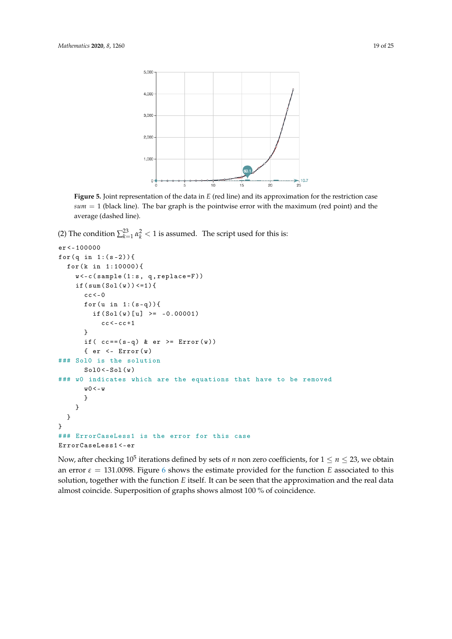<span id="page-18-0"></span>

**Figure 5.** Joint representation of the data in *E* (red line) and its approximation for the restriction case *sum* = 1 (black line). The bar graph is the pointwise error with the maximum (red point) and the average (dashed line).

(2) The condition  $\sum_{k=1}^{23} \alpha_k^2 < 1$  is assumed. The script used for this is:

```
er <- 100000
for (q \in 1: (s-2)) {
  for ( k in 1: 10000){
    w < -c (sample (1:s, q, replace=F))
    if ( sum ( Sol ( w ) ) \leq 1 ){
       cc < -0for (u \in 1: (s-q)) {
         if (Sol(w)[u] \ge -0.00001)cc < -cc +1}
       if (c = (s - q) \& cr \geq Error(w))\{ er \leq Error (w)### Sol0 is the solution
       Sol0 < -Sol(w)### w0 indicates which are the equations that have to be removed
       w0 < -w}
    }
  }
}
### ErrorCaseLess1 is the error for this case
ErrorCaseLess1 <- er
```
Now, after checking  $10^5$  iterations defined by sets of *n* non zero coefficients, for  $1\leq n\leq 23$ , we obtain an error  $\varepsilon = 131.0098$ . Figure [6](#page-19-1) shows the estimate provided for the function *E* associated to this solution, together with the function *E* itself. It can be seen that the approximation and the real data almost coincide. Superposition of graphs shows almost 100 % of coincidence.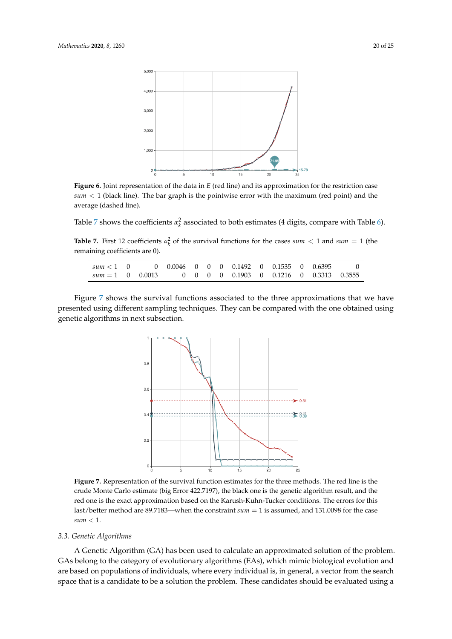<span id="page-19-1"></span>

**Figure 6.** Joint representation of the data in *E* (red line) and its approximation for the restriction case *sum* < 1 (black line). The bar graph is the pointwise error with the maximum (red point) and the average (dashed line).

Table [7](#page-19-2) shows the coefficients  $\alpha_k^2$  associated to both estimates (4 digits, compare with Table [6\)](#page-16-1).

<span id="page-19-2"></span>**Table 7.** First 12 coefficients  $\alpha_k^2$  of the survival functions for the cases  $sum < 1$  and  $sum = 1$  (the remaining coefficients are 0).

| $sum < 1$ 0 0.0046 0 0 0.1492 0 0.1535 0 0.6395 0          |  |  |  |  |  |  |
|------------------------------------------------------------|--|--|--|--|--|--|
| $sum = 1$ 0 0.0013 0 0 0 0 0.1903 0 0.1216 0 0.3313 0.3555 |  |  |  |  |  |  |

<span id="page-19-3"></span>Figure [7](#page-19-3) shows the survival functions associated to the three approximations that we have presented using different sampling techniques. They can be compared with the one obtained using genetic algorithms in next subsection.



**Figure 7.** Representation of the survival function estimates for the three methods. The red line is the crude Monte Carlo estimate (big Error 422.7197), the black one is the genetic algorithm result, and the red one is the exact approximation based on the Karush-Kuhn-Tucker conditions. The errors for this last/better method are 89.7183—when the constraint *sum* = 1 is assumed, and 131.0098 for the case  $sum < 1$ .

## <span id="page-19-0"></span>*3.3. Genetic Algorithms*

A Genetic Algorithm (GA) has been used to calculate an approximated solution of the problem. GAs belong to the category of evolutionary algorithms (EAs), which mimic biological evolution and are based on populations of individuals, where every individual is, in general, a vector from the search space that is a candidate to be a solution the problem. These candidates should be evaluated using a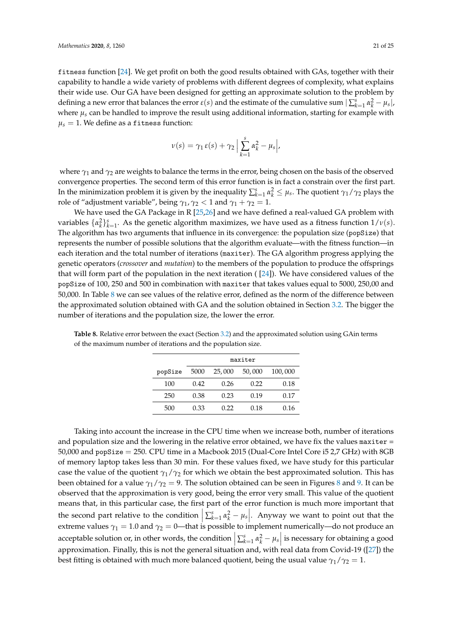fitness function [\[24\]](#page-24-3). We get profit on both the good results obtained with GAs, together with their capability to handle a wide variety of problems with different degrees of complexity, what explains their wide use. Our GA have been designed for getting an approximate solution to the problem by defining a new error that balances the error  $\varepsilon(s)$  and the estimate of the cumulative sum  $|\sum_{k=1}^{s} \alpha_k^2 - \mu_s|$ , where  $\mu_s$  can be handled to improve the result using additional information, starting for example with  $\mu_s = 1$ . We define as a fitness function:

$$
\nu(s) = \gamma_1 \varepsilon(s) + \gamma_2 \left| \sum_{k=1}^{s} \alpha_k^2 - \mu_s \right|,
$$

where  $\gamma_1$  and  $\gamma_2$  are weights to balance the terms in the error, being chosen on the basis of the observed convergence properties. The second term of this error function is in fact a constrain over the first part. In the minimization problem it is given by the inequality  $\sum_{k=1}^s \alpha_k^2 \leq \mu_s$ . The quotient  $\gamma_1/\gamma_2$  plays the role of "adjustment variable", being  $\gamma_1$ ,  $\gamma_2$  < 1 and  $\gamma_1$  +  $\gamma_2$  = 1.

We have used the GA Package in R [\[25](#page-24-4)[,26\]](#page-24-5) and we have defined a real-valued GA problem with variables  $\{\alpha_k^2\}_{k=1}^s$ . As the genetic algorithm maximizes, we have used as a fitness function  $1/\nu(s)$ . The algorithm has two arguments that influence in its convergence: the population size (popSize) that represents the number of possible solutions that the algorithm evaluate—with the fitness function—in each iteration and the total number of iterations (maxiter). The GA algorithm progress applying the genetic operators (*crossover* and *mutation*) to the members of the population to produce the offsprings that will form part of the population in the next iteration ( $[24]$ ). We have considered values of the popSize of 100, 250 and 500 in combination with maxiter that takes values equal to 5000, 250,00 and 50,000. In Table [8](#page-20-0) we can see values of the relative error, defined as the norm of the difference between the approximated solution obtained with GA and the solution obtained in Section [3.2.](#page-16-0) The bigger the number of iterations and the population size, the lower the error.

|         | maxiter |        |        |         |  |  |  |  |  |  |
|---------|---------|--------|--------|---------|--|--|--|--|--|--|
| popSize | 5000    | 25,000 | 50,000 | 100,000 |  |  |  |  |  |  |
| 100     | 0.42    | 0.26   | 0.22   | 0.18    |  |  |  |  |  |  |
| 250     | 0.38    | 0.23   | 0.19   | 0.17    |  |  |  |  |  |  |
| 500     | 0.33    | 0.22   | 0.18   | 0.16    |  |  |  |  |  |  |

<span id="page-20-0"></span>**Table 8.** Relative error between the exact (Section [3.2\)](#page-16-0) and the approximated solution using GAin terms of the maximum number of iterations and the population size.

Taking into account the increase in the CPU time when we increase both, number of iterations and population size and the lowering in the relative error obtained, we have fix the values maxiter = 50,000 and popSize = 250. CPU time in a Macbook 2015 (Dual-Core Intel Core i5 2,7 GHz) with 8GB of memory laptop takes less than 30 min. For these values fixed, we have study for this particular case the value of the quotient  $\gamma_1/\gamma_2$  for which we obtain the best approximated solution. This has been obtained for a value  $\gamma_1/\gamma_2 = 9$ . The solution obtained can be seen in Figures [8](#page-21-0) and [9.](#page-22-1) It can be observed that the approximation is very good, being the error very small. This value of the quotient means that, in this particular case, the first part of the error function is much more important that the second part relative to the condition  $\left|\sum_{k=1}^{s} \alpha_k^2 - \mu_s\right|$ . Anyway we want to point out that the extreme values  $\gamma_1 = 1.0$  and  $\gamma_2 = 0$ —that is possible to implement numerically—do not produce an acceptable solution or, in other words, the condition  $\left| \sum_{k=1}^{s} \alpha_k^2 - \mu_s \right|$  is necessary for obtaining a good approximation. Finally, this is not the general situation and, with real data from Covid-19 ([\[27\]](#page-24-6)) the best fitting is obtained with much more balanced quotient, being the usual value  $\gamma_1/\gamma_2 = 1$ .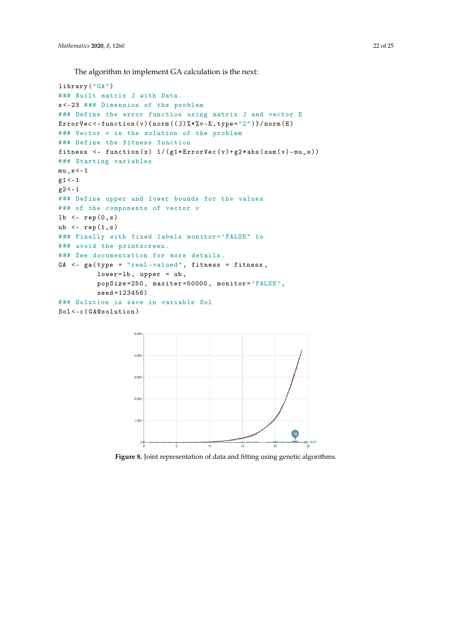```
library ("GA")
### Built matrix J with Data.
s <- 23 ### Dimension of the problem
### Define the error function using matrix J and vector E
ErrorVec < - function (v) {norm((J)%*%v-E, type="2")}/norm (E)
### Vector v is the solution of the problem
### Define the fitness function
fitness \leq function (x) 1/(g1*ErrorVec(v)+g2*abs(sum(v)-mu_s))### Starting variables
mu_s < -1g1 < -1g2 < -1### Define upper and lower bounds for the values
### of the components of vector v
lb \leftarrow rep(0, s)ub \leftarrow rep (1, s)### Finally with fixed labels monitor='FALSE" to
### avoid the printscreen.
### See documentation for more details .
GA <- ga (type = "real-valued", fitness = fitness,
         lower = lb, upper = ub,popSize =250 , maxiter =50000 , monitor ='FALSE ',
         seed =123456)
### Solution is save in variable Sol
Sol <-c( GA@solution )
```
<span id="page-21-0"></span>

**Figure 8.** Joint representation of data and fitting using genetic algorithms.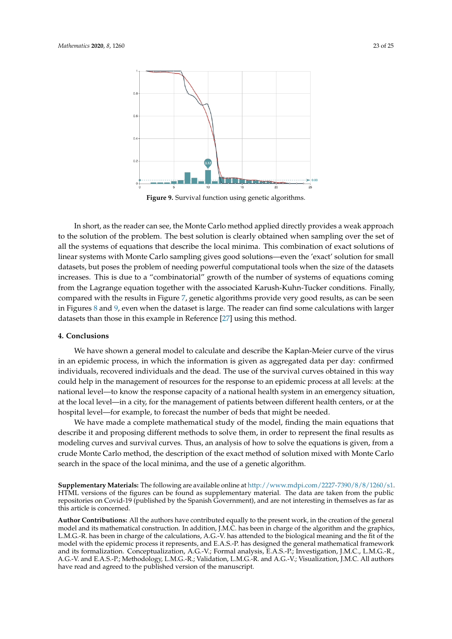<span id="page-22-1"></span>

**Figure 9.** Survival function using genetic algorithms.

In short, as the reader can see, the Monte Carlo method applied directly provides a weak approach to the solution of the problem. The best solution is clearly obtained when sampling over the set of all the systems of equations that describe the local minima. This combination of exact solutions of linear systems with Monte Carlo sampling gives good solutions—even the 'exact' solution for small datasets, but poses the problem of needing powerful computational tools when the size of the datasets increases. This is due to a "combinatorial" growth of the number of systems of equations coming from the Lagrange equation together with the associated Karush-Kuhn-Tucker conditions. Finally, compared with the results in Figure [7,](#page-19-3) genetic algorithms provide very good results, as can be seen in Figures [8](#page-21-0) and [9,](#page-22-1) even when the dataset is large. The reader can find some calculations with larger datasets than those in this example in Reference [\[27\]](#page-24-6) using this method.

# <span id="page-22-0"></span>**4. Conclusions**

We have shown a general model to calculate and describe the Kaplan-Meier curve of the virus in an epidemic process, in which the information is given as aggregated data per day: confirmed individuals, recovered individuals and the dead. The use of the survival curves obtained in this way could help in the management of resources for the response to an epidemic process at all levels: at the national level—to know the response capacity of a national health system in an emergency situation, at the local level—in a city, for the management of patients between different health centers, or at the hospital level—for example, to forecast the number of beds that might be needed.

We have made a complete mathematical study of the model, finding the main equations that describe it and proposing different methods to solve them, in order to represent the final results as modeling curves and survival curves. Thus, an analysis of how to solve the equations is given, from a crude Monte Carlo method, the description of the exact method of solution mixed with Monte Carlo search in the space of the local minima, and the use of a genetic algorithm.

**Supplementary Materials:** The following are available online at [http://www.mdpi.com/2227-7390/8/8/1260/s1.](http://www.mdpi.com/2227-7390/8/8/1260/s1) HTML versions of the figures can be found as supplementary material. The data are taken from the public repositories on Covid-19 (published by the Spanish Government), and are not interesting in themselves as far as this article is concerned.

**Author Contributions:** All the authors have contributed equally to the present work, in the creation of the general model and its mathematical construction. In addition, J.M.C. has been in charge of the algorithm and the graphics, L.M.G.-R. has been in charge of the calculations, A.G.-V. has attended to the biological meaning and the fit of the model with the epidemic process it represents, and E.A.S.-P. has designed the general mathematical framework and its formalization. Conceptualization, A.G.-V.; Formal analysis, E.A.S.-P.; Investigation, J.M.C., L.M.G.-R., A.G.-V. and E.A.S.-P.; Methodology, L.M.G.-R.; Validation, L.M.G.-R. and A.G.-V.; Visualization, J.M.C. All authors have read and agreed to the published version of the manuscript.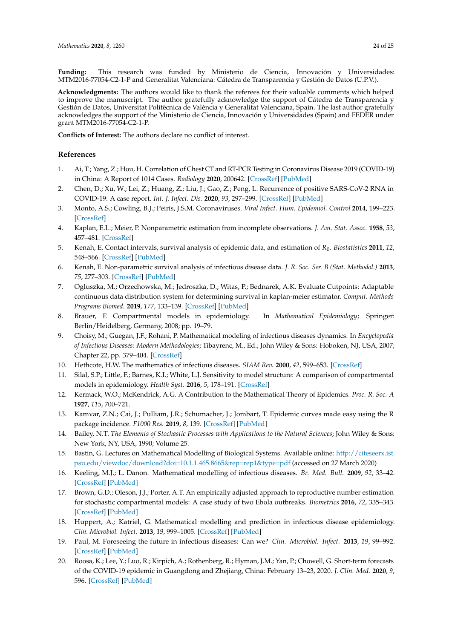**Funding:** This research was funded by Ministerio de Ciencia, Innovación y Universidades: MTM2016-77054-C2-1-P and Generalitat Valenciana: Cátedra de Transparencia y Gestión de Datos (U.P.V.).

**Acknowledgments:** The authors would like to thank the referees for their valuable comments which helped to improve the manuscript. The author gratefully acknowledge the support of Cátedra de Transparencia y Gestión de Datos, Universitat Politècnica de València y Generalitat Valenciana, Spain. The last author gratefully acknowledges the support of the Ministerio de Ciencia, Innovación y Universidades (Spain) and FEDER under grant MTM2016-77054-C2-1-P.

**Conflicts of Interest:** The authors declare no conflict of interest.

# **References**

- <span id="page-23-0"></span>1. Ai, T.; Yang, Z.; Hou, H. Correlation of Chest CT and RT-PCR Testing in Coronavirus Disease 2019 (COVID-19) in China: A Report of 1014 Cases. *Radiology* **2020**, 200642. [\[CrossRef\]](http://dx.doi.org/10.1148/radiol.2020200642) [\[PubMed\]](http://www.ncbi.nlm.nih.gov/pubmed/32101510)
- <span id="page-23-18"></span>2. Chen, D.; Xu, W.; Lei, Z.; Huang, Z.; Liu, J.; Gao, Z.; Peng, L. Recurrence of positive SARS-CoV-2 RNA in COVID-19: A case report. *Int. J. Infect. Dis.* **2020**, *93*, 297–299. [\[CrossRef\]](http://dx.doi.org/10.1016/j.ijid.2020.03.003) [\[PubMed\]](http://www.ncbi.nlm.nih.gov/pubmed/32147538)
- <span id="page-23-1"></span>3. Monto, A.S.; Cowling, B.J.; Peiris, J.S.M. Coronaviruses. *Viral Infect. Hum. Epidemiol. Control* **2014**, 199–223. [\[CrossRef\]](http://dx.doi.org/10.1007/978-1-4899-7448-81-0)
- <span id="page-23-2"></span>4. Kaplan, E.L.; Meier, P. Nonparametric estimation from incomplete observations. *J. Am. Stat. Assoc.* **1958**, *53*, 457–481. [\[CrossRef\]](http://dx.doi.org/10.1080/01621459.1958.10501452)
- <span id="page-23-3"></span>5. Kenah, E. Contact intervals, survival analysis of epidemic data, and estimation of *R*0. *Biostatistics* **2011**, *12*, 548–566. [\[CrossRef\]](http://dx.doi.org/10.1093/biostatistics/kxq068) [\[PubMed\]](http://www.ncbi.nlm.nih.gov/pubmed/21071607)
- <span id="page-23-4"></span>6. Kenah, E. Non-parametric survival analysis of infectious disease data. *J. R. Soc. Ser. B (Stat. Methodol.)* **2013**, *75*, 277–303. [\[CrossRef\]](http://dx.doi.org/10.1111/j.1467-9868.2012.01042.x) [\[PubMed\]](http://www.ncbi.nlm.nih.gov/pubmed/23772180)
- <span id="page-23-5"></span>7. Ogluszka, M.; Orzechowska, M.; Jedroszka, D.; Witas, P.; Bednarek, A.K. Evaluate Cutpoints: Adaptable continuous data distribution system for determining survival in kaplan-meier estimator. *Comput. Methods Programs Biomed.* **2019**, *177*, 133–139. [\[CrossRef\]](http://dx.doi.org/10.1016/j.cmpb.2019.05.023) [\[PubMed\]](http://www.ncbi.nlm.nih.gov/pubmed/31319941)
- <span id="page-23-6"></span>8. Brauer, F. Compartmental models in epidemiology. In *Mathematical Epidemiology*; Springer: Berlin/Heidelberg, Germany, 2008; pp. 19–79.
- 9. Choisy, M.; Guegan, J.F.; Rohani, P. Mathematical modeling of infectious diseases dynamics. In *Encyclopedia of Infectious Diseases: Modern Methodologies*; Tibayrenc, M., Ed.; John Wiley & Sons: Hoboken, NJ, USA, 2007; Chapter 22, pp. 379–404. [\[CrossRef\]](http://dx.doi.org/10.1137/S0036144500371907)
- <span id="page-23-13"></span>10. Hethcote, H.W. The mathematics of infectious diseases. *SIAM Rev.* **2000**, *42*, 599–653. [\[CrossRef\]](http://dx.doi.org/10.1137/S0036144500371907)
- <span id="page-23-7"></span>11. Silal, S.P.; Little, F.; Barnes, K.I.; White, L.J. Sensitivity to model structure: A comparison of compartmental models in epidemiology. *Health Syst.* **2016**, *5*, 178–191. [\[CrossRef\]](http://dx.doi.org/10.1057/hs.2015.2)
- <span id="page-23-8"></span>12. Kermack, W.O.; McKendrick, A.G. A Contribution to the Mathematical Theory of Epidemics. *Proc. R. Soc. A* **1927**, *115*, 700–721.
- <span id="page-23-9"></span>13. Kamvar, Z.N.; Cai, J.; Pulliam, J.R.; Schumacher, J.; Jombart, T. Epidemic curves made easy using the R package incidence. *F1000 Res.* **2019**, *8*, 139. [\[CrossRef\]](http://dx.doi.org/10.12688/f1000research.18002.1) [\[PubMed\]](http://www.ncbi.nlm.nih.gov/pubmed/31119031)
- <span id="page-23-10"></span>14. Bailey, N.T. *The Elements of Stochastic Processes with Applications to the Natural Sciences*; John Wiley & Sons: New York, NY, USA, 1990; Volume 25.
- <span id="page-23-11"></span>15. Bastin, G. Lectures on Mathematical Modelling of Biological Systems. Available online: [http://citeseerx.ist.](http://citeseerx.ist.psu.edu/viewdoc/download?doi=10.1.1.465.8665&rep=rep1&type=pdf) [psu.edu/viewdoc/download?doi=10.1.1.465.8665&rep=rep1&type=pdf](http://citeseerx.ist.psu.edu/viewdoc/download?doi=10.1.1.465.8665&rep=rep1&type=pdf) (accessed on 27 March 2020)
- <span id="page-23-12"></span>16. Keeling, M.J.; L. Danon. Mathematical modelling of infectious diseases. *Br. Med. Bull.* **2009**, *92*, 33–42. [\[CrossRef\]](http://dx.doi.org/10.1093/bmb/ldp038) [\[PubMed\]](http://www.ncbi.nlm.nih.gov/pubmed/19855103)
- <span id="page-23-14"></span>17. Brown, G.D.; Oleson, J.J.; Porter, A.T. An empirically adjusted approach to reproductive number estimation for stochastic compartmental models: A case study of two Ebola outbreaks. *Biometrics* **2016**, *72*, 335–343. [\[CrossRef\]](http://dx.doi.org/10.1111/biom.12432) [\[PubMed\]](http://www.ncbi.nlm.nih.gov/pubmed/26574727)
- <span id="page-23-15"></span>18. Huppert, A.; Katriel, G. Mathematical modelling and prediction in infectious disease epidemiology. *Clin. Microbiol. Infect.* **2013**, *19*, 999–1005. [\[CrossRef\]](http://dx.doi.org/10.1111/1469-0691.12308) [\[PubMed\]](http://www.ncbi.nlm.nih.gov/pubmed/24266045)
- <span id="page-23-16"></span>19. Paul, M. Foreseeing the future in infectious diseases: Can we? *Clin. Microbiol. Infect.* **2013**, *19*, 99–992. [\[CrossRef\]](http://dx.doi.org/10.1111/1469-0691.12300) [\[PubMed\]](http://www.ncbi.nlm.nih.gov/pubmed/24118620)
- <span id="page-23-17"></span>20. Roosa, K.; Lee, Y.; Luo, R.; Kirpich, A.; Rothenberg, R.; Hyman, J.M.; Yan, P.; Chowell, G. Short-term forecasts of the COVID-19 epidemic in Guangdong and Zhejiang, China: February 13–23, 2020. *J. Clin. Med.* **2020**, *9*, 596. [\[CrossRef\]](http://dx.doi.org/10.3390/jcm9020596) [\[PubMed\]](http://www.ncbi.nlm.nih.gov/pubmed/32098289)